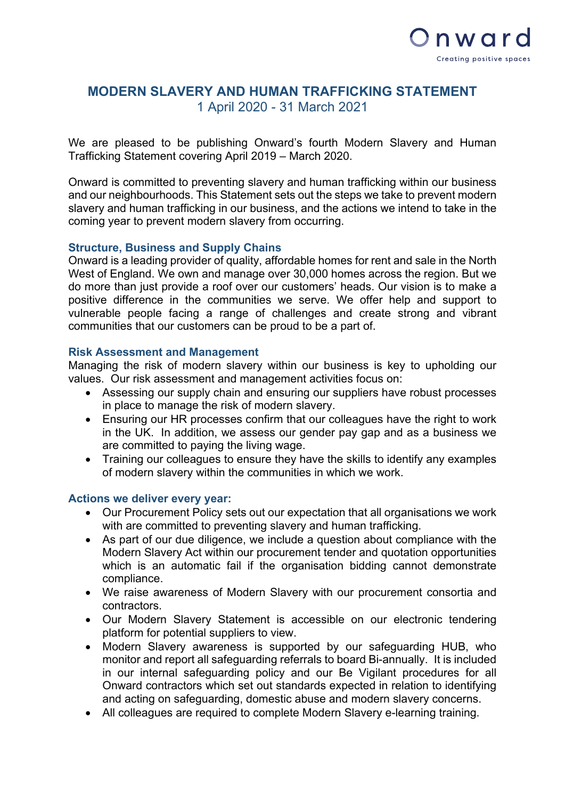

# **MODERN SLAVERY AND HUMAN TRAFFICKING STATEMENT** 1 April 2020 - 31 March 2021

We are pleased to be publishing Onward's fourth Modern Slavery and Human Trafficking Statement covering April 2019 – March 2020.

Onward is committed to preventing slavery and human trafficking within our business and our neighbourhoods. This Statement sets out the steps we take to prevent modern slavery and human trafficking in our business, and the actions we intend to take in the coming year to prevent modern slavery from occurring.

### **Structure, Business and Supply Chains**

Onward is a leading provider of quality, affordable homes for rent and sale in the North West of England. We own and manage over 30,000 homes across the region. But we do more than just provide a roof over our customers' heads. Our vision is to make a positive difference in the communities we serve. We offer help and support to vulnerable people facing a range of challenges and create strong and vibrant communities that our customers can be proud to be a part of.

#### **Risk Assessment and Management**

Managing the risk of modern slavery within our business is key to upholding our values. Our risk assessment and management activities focus on:

- Assessing our supply chain and ensuring our suppliers have robust processes in place to manage the risk of modern slavery.
- Ensuring our HR processes confirm that our colleagues have the right to work in the UK. In addition, we assess our gender pay gap and as a business we are committed to paying the living wage.
- Training our colleagues to ensure they have the skills to identify any examples of modern slavery within the communities in which we work.

#### **Actions we deliver every year:**

- Our Procurement Policy sets out our expectation that all organisations we work with are committed to preventing slavery and human trafficking.
- As part of our due diligence, we include a question about compliance with the Modern Slavery Act within our procurement tender and quotation opportunities which is an automatic fail if the organisation bidding cannot demonstrate compliance.
- We raise awareness of Modern Slavery with our procurement consortia and contractors.
- Our Modern Slavery Statement is accessible on our electronic tendering platform for potential suppliers to view.
- Modern Slavery awareness is supported by our safeguarding HUB, who monitor and report all safeguarding referrals to board Bi-annually. It is included in our internal safeguarding policy and our Be Vigilant procedures for all Onward contractors which set out standards expected in relation to identifying and acting on safeguarding, domestic abuse and modern slavery concerns.
- All colleagues are required to complete Modern Slavery e-learning training.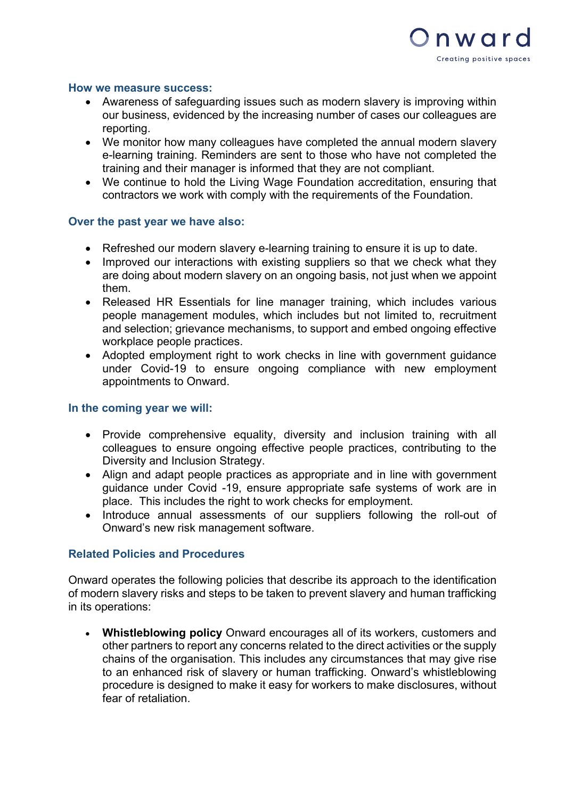

#### **How we measure success:**

- Awareness of safeguarding issues such as modern slavery is improving within our business, evidenced by the increasing number of cases our colleagues are reporting.
- We monitor how many colleagues have completed the annual modern slavery e-learning training. Reminders are sent to those who have not completed the training and their manager is informed that they are not compliant.
- We continue to hold the Living Wage Foundation accreditation, ensuring that contractors we work with comply with the requirements of the Foundation.

#### **Over the past year we have also:**

- Refreshed our modern slavery e-learning training to ensure it is up to date.
- Improved our interactions with existing suppliers so that we check what they are doing about modern slavery on an ongoing basis, not just when we appoint them.
- Released HR Essentials for line manager training, which includes various people management modules, which includes but not limited to, recruitment and selection; grievance mechanisms, to support and embed ongoing effective workplace people practices.
- Adopted employment right to work checks in line with government guidance under Covid-19 to ensure ongoing compliance with new employment appointments to Onward.

#### **In the coming year we will:**

- Provide comprehensive equality, diversity and inclusion training with all colleagues to ensure ongoing effective people practices, contributing to the Diversity and Inclusion Strategy.
- Align and adapt people practices as appropriate and in line with government guidance under Covid -19, ensure appropriate safe systems of work are in place. This includes the right to work checks for employment.
- Introduce annual assessments of our suppliers following the roll-out of Onward's new risk management software.

## **Related Policies and Procedures**

Onward operates the following policies that describe its approach to the identification of modern slavery risks and steps to be taken to prevent slavery and human trafficking in its operations:

• **Whistleblowing policy** Onward encourages all of its workers, customers and other partners to report any concerns related to the direct activities or the supply chains of the organisation. This includes any circumstances that may give rise to an enhanced risk of slavery or human trafficking. Onward's whistleblowing procedure is designed to make it easy for workers to make disclosures, without fear of retaliation.